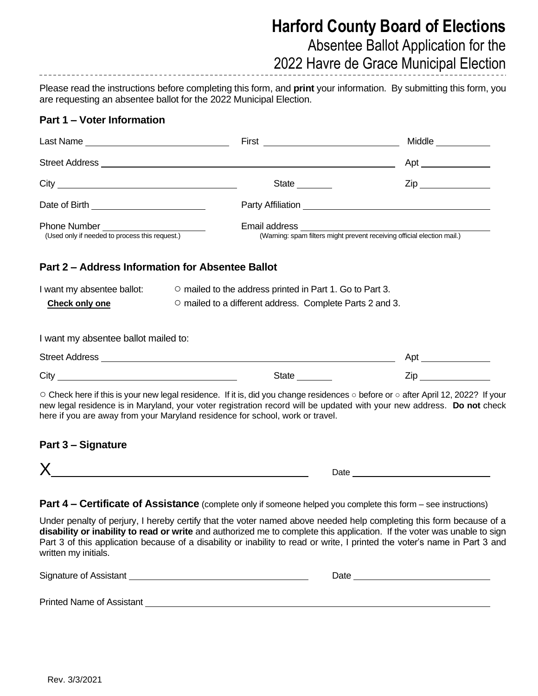# **Harford County Board of Elections**

Absentee Ballot Application for the

2022 Havre de Grace Municipal Election

Please read the instructions before completing this form, and **print** your information. By submitting this form, you are requesting an absentee ballot for the 2022 Municipal Election.

### **Part 1 – Voter Information**

|                                                                                        |                                                                                                                                                                                                                                | Middle                                                                                                                                                                                                                                                                                                                                                                        |  |  |
|----------------------------------------------------------------------------------------|--------------------------------------------------------------------------------------------------------------------------------------------------------------------------------------------------------------------------------|-------------------------------------------------------------------------------------------------------------------------------------------------------------------------------------------------------------------------------------------------------------------------------------------------------------------------------------------------------------------------------|--|--|
|                                                                                        |                                                                                                                                                                                                                                |                                                                                                                                                                                                                                                                                                                                                                               |  |  |
|                                                                                        | State _______                                                                                                                                                                                                                  | $\mathsf{Zip}$                                                                                                                                                                                                                                                                                                                                                                |  |  |
|                                                                                        |                                                                                                                                                                                                                                |                                                                                                                                                                                                                                                                                                                                                                               |  |  |
| Phone Number _______________________<br>(Used only if needed to process this request.) |                                                                                                                                                                                                                                | Email address<br>(Warning: spam filters might prevent receiving official election mail.)                                                                                                                                                                                                                                                                                      |  |  |
|                                                                                        | Part 2 - Address Information for Absentee Ballot                                                                                                                                                                               |                                                                                                                                                                                                                                                                                                                                                                               |  |  |
| I want my absentee ballot:                                                             |                                                                                                                                                                                                                                | ○ mailed to the address printed in Part 1. Go to Part 3.                                                                                                                                                                                                                                                                                                                      |  |  |
| <b>Check only one</b>                                                                  |                                                                                                                                                                                                                                | O mailed to a different address. Complete Parts 2 and 3.                                                                                                                                                                                                                                                                                                                      |  |  |
| I want my absentee ballot mailed to:                                                   |                                                                                                                                                                                                                                |                                                                                                                                                                                                                                                                                                                                                                               |  |  |
|                                                                                        |                                                                                                                                                                                                                                |                                                                                                                                                                                                                                                                                                                                                                               |  |  |
|                                                                                        | State ________                                                                                                                                                                                                                 | <b>Zip Example 20</b>                                                                                                                                                                                                                                                                                                                                                         |  |  |
|                                                                                        | here if you are away from your Maryland residence for school, work or travel.                                                                                                                                                  | ○ Check here if this is your new legal residence. If it is, did you change residences o before or o after April 12, 2022? If your<br>new legal residence is in Maryland, your voter registration record will be updated with your new address. Do not check                                                                                                                   |  |  |
| <b>Part 3 - Signature</b>                                                              |                                                                                                                                                                                                                                |                                                                                                                                                                                                                                                                                                                                                                               |  |  |
|                                                                                        | $X$ and the set of $X$ and $X$ and $X$ and $X$ and $X$ and $X$ and $X$ and $X$ and $X$ and $X$ and $X$ and $X$ and $X$ and $X$ and $X$ and $X$ and $X$ and $X$ and $X$ and $X$ and $X$ and $X$ and $X$ and $X$ and $X$ and $X$ |                                                                                                                                                                                                                                                                                                                                                                               |  |  |
|                                                                                        | <b>Part 4 – Certificate of Assistance</b> (complete only if someone helped you complete this form – see instructions)                                                                                                          |                                                                                                                                                                                                                                                                                                                                                                               |  |  |
| written my initials.                                                                   |                                                                                                                                                                                                                                | Under penalty of perjury, I hereby certify that the voter named above needed help completing this form because of a<br>disability or inability to read or write and authorized me to complete this application. If the voter was unable to sign<br>Part 3 of this application because of a disability or inability to read or write, I printed the voter's name in Part 3 and |  |  |

| Signature of Assistant | Date |  |
|------------------------|------|--|
|                        |      |  |

Printed Name of Assistant